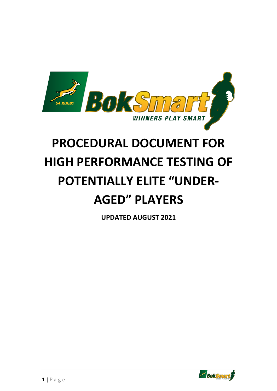

## **PROCEDURAL DOCUMENT FOR HIGH PERFORMANCE TESTING OF POTENTIALLY ELITE "UNDER-AGED" PLAYERS**

**UPDATED AUGUST 2021**

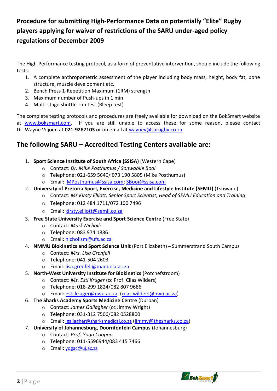## **Procedure for submitting High-Performance Data on potentially "Elite" Rugby players applying for waiver of restrictions of the SARU under-aged policy regulations of December 2009**

The High-Performance testing protocol, as a form of preventative intervention, should include the following tests:

- 1. A complete anthropometric assessment of the player including body mass, height, body fat, bone structure, muscle development etc.
- 2. Bench Press 1-Repetition Maximum (1RM) strength
- 3. Maximum number of Push-ups in 1 min
- 4. Multi-stage shuttle-run test (Bleep test)

The complete testing protocols and procedures are freely available for download on the BokSmart website at [www.boksmart.com.](http://www.boksmart.com/) If you are still unable to access these for some reason, please contact Dr. Wayne Viljoen at **021-9287103** or on email at [waynev@sarugby.co.za.](mailto:waynev@sarugby.co.za)

## **The following SARU – Accredited Testing Centers available are:**

- 1. **Sport Science Institute of South Africa (SSISA)** (Western Cape)
	- o Contact: *Dr. Mike Posthumus / Sonwabile Booi*
	- o Telephone: 021-659 5640/ 073 190 5805 (Mike Posthumus)
	- o Email: [MPosthumus@ssisa.com;](mailto:MPosthumus@ssisa.com) [SBooi@ssisa.com](mailto:SBooi@ssisa.com)
- 2. **University of Pretoria Sport, Exercise, Medicine and Lifestyle Institute (SEMLI)** (Tshwane)
	- o Contact: *Ms Kirsty Elliott, Senior Sport Scientist, Head of SEMLI Education and Training*
	- o Telephone: 012 484 1711/072 100 7496
	- o Email: [kirsty.elliott@semli.co.za](mailto:kirsty.elliott@semli.co.za)
- 3. **Free State University Exercise and Sport Science Centre** (Free State)
	- o Contact: *Mark Nicholls*
	- o Telephone: 083 974 1886
	- o Email: nichollsm@ufs.ac.za
- 4. **NMMU Biokinetics and Sport Science Unit** (Port Elizabeth) Summerstrand South Campus
	- o Contact: *Mrs. Lisa Grenfell*
	- o Telephone: 041-504 2603
	- o Email: lisa.grenfell@mandela.ac.za
- 5. **North-West University Institute for Biokinetics** (Potchefstroom)
	- o Contact: *Ms. Esti Kruger* (cc Prof. Cilas Wilders)
	- o Telephone: 018-299 1824/082 807 9686
	- o Email: [esti.kruger@nwu.ac.za,](mailto:esti.kruger@nwu.ac.za) [\(cilas.wilders@nwu.ac.za\)](mailto:cilas.wilders@nwu.ac.za)
- 6. **The Sharks Academy Sports Medicine Centre** (Durban)
	- o Contact: *James Gallagher* (cc Jimmy Wright)
	- o Telephone: 031-312 7506/082 0528800
	- o Email: [jgallagher@sharksmedical.co.za](mailto:jgallagher@sharksmedical.co.za) [\(jimmy@thesharks.co.za](mailto:jimmy@thesharks.co.za))
- 7. **University of Johannesburg, Doornfontein Campus** (Johannesburg)
	- o Contact: *Prof. Yoga Coopoo*
	- o Telephone: 011-5596944/083 415 7466
	- o Email: [yogac@uj.ac.za](mailto:yogac@uj.ac.za)